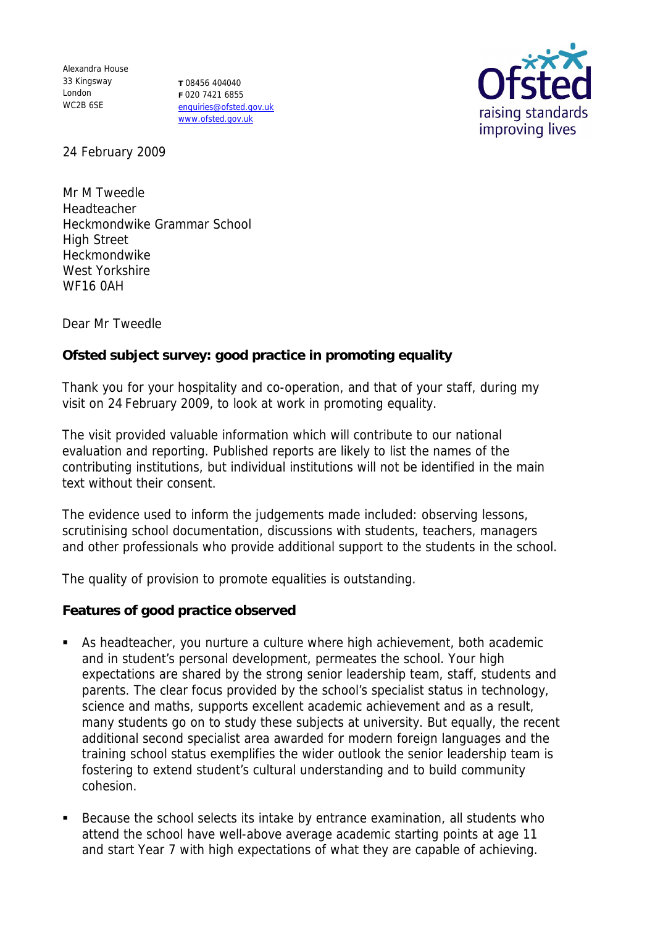Alexandra House 33 Kingsway London WC2B 6SE

**T** 08456 404040 **F** 020 7421 6855 enquiries@ofsted.gov.uk www.ofsted.gov.uk



24 February 2009

Mr M Tweedle Headteacher Heckmondwike Grammar School High Street Heckmondwike West Yorkshire WF16 0AH

Dear Mr Tweedle

**Ofsted subject survey: good practice in promoting equality** 

Thank you for your hospitality and co-operation, and that of your staff, during my visit on 24 February 2009, to look at work in promoting equality.

The visit provided valuable information which will contribute to our national evaluation and reporting. Published reports are likely to list the names of the contributing institutions, but individual institutions will not be identified in the main text without their consent.

The evidence used to inform the judgements made included: observing lessons, scrutinising school documentation, discussions with students, teachers, managers and other professionals who provide additional support to the students in the school.

The quality of provision to promote equalities is outstanding.

**Features of good practice observed**

- As headteacher, you nurture a culture where high achievement, both academic and in student's personal development, permeates the school. Your high expectations are shared by the strong senior leadership team, staff, students and parents. The clear focus provided by the school's specialist status in technology, science and maths, supports excellent academic achievement and as a result, many students go on to study these subjects at university. But equally, the recent additional second specialist area awarded for modern foreign languages and the training school status exemplifies the wider outlook the senior leadership team is fostering to extend student's cultural understanding and to build community cohesion.
- Because the school selects its intake by entrance examination, all students who attend the school have well-above average academic starting points at age 11 and start Year 7 with high expectations of what they are capable of achieving.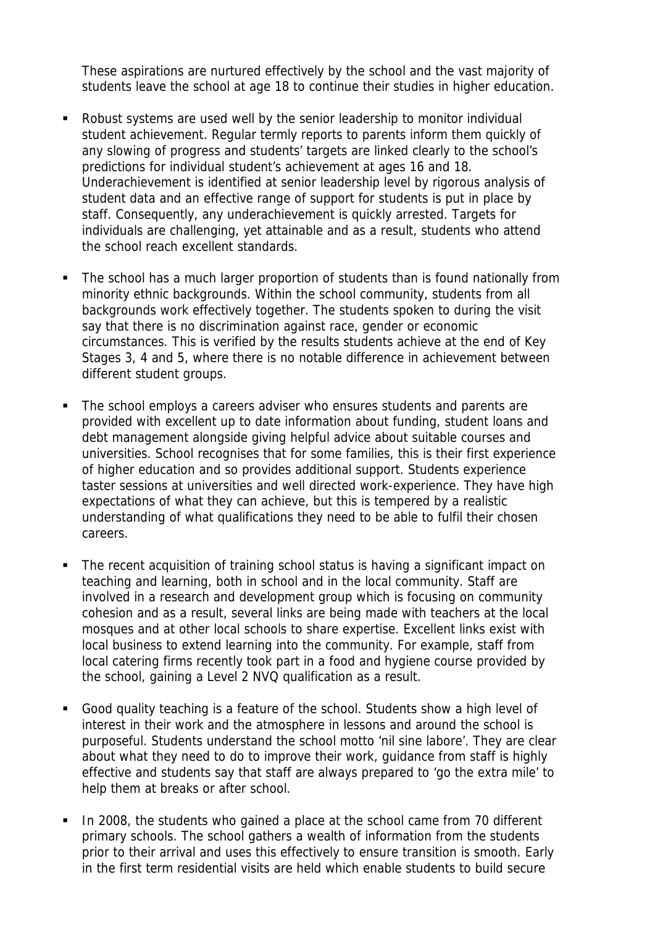These aspirations are nurtured effectively by the school and the vast majority of students leave the school at age 18 to continue their studies in higher education.

- Robust systems are used well by the senior leadership to monitor individual student achievement. Regular termly reports to parents inform them quickly of any slowing of progress and students' targets are linked clearly to the school's predictions for individual student's achievement at ages 16 and 18. Underachievement is identified at senior leadership level by rigorous analysis of student data and an effective range of support for students is put in place by staff. Consequently, any underachievement is quickly arrested. Targets for individuals are challenging, yet attainable and as a result, students who attend the school reach excellent standards.
- The school has a much larger proportion of students than is found nationally from minority ethnic backgrounds. Within the school community, students from all backgrounds work effectively together. The students spoken to during the visit say that there is no discrimination against race, gender or economic circumstances. This is verified by the results students achieve at the end of Key Stages 3, 4 and 5, where there is no notable difference in achievement between different student groups.
- The school employs a careers adviser who ensures students and parents are provided with excellent up to date information about funding, student loans and debt management alongside giving helpful advice about suitable courses and universities. School recognises that for some families, this is their first experience of higher education and so provides additional support. Students experience taster sessions at universities and well directed work-experience. They have high expectations of what they can achieve, but this is tempered by a realistic understanding of what qualifications they need to be able to fulfil their chosen careers.
- The recent acquisition of training school status is having a significant impact on teaching and learning, both in school and in the local community. Staff are involved in a research and development group which is focusing on community cohesion and as a result, several links are being made with teachers at the local mosques and at other local schools to share expertise. Excellent links exist with local business to extend learning into the community. For example, staff from local catering firms recently took part in a food and hygiene course provided by the school, gaining a Level 2 NVQ qualification as a result.
- Good quality teaching is a feature of the school. Students show a high level of interest in their work and the atmosphere in lessons and around the school is purposeful. Students understand the school motto 'nil sine labore'. They are clear about what they need to do to improve their work, guidance from staff is highly effective and students say that staff are always prepared to 'go the extra mile' to help them at breaks or after school.
- In 2008, the students who gained a place at the school came from 70 different primary schools. The school gathers a wealth of information from the students prior to their arrival and uses this effectively to ensure transition is smooth. Early in the first term residential visits are held which enable students to build secure